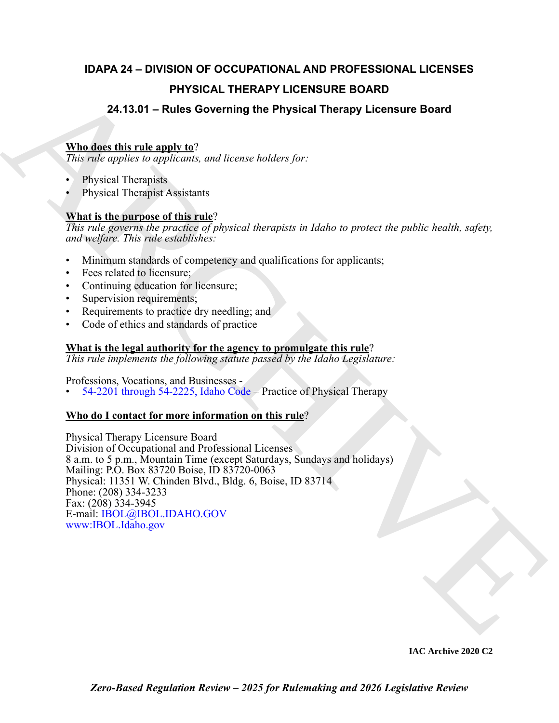## **IDAPA 24 – DIVISION OF OCCUPATIONAL AND PROFESSIONAL LICENSES PHYSICAL THERAPY LICENSURE BOARD**

### **24.13.01 – Rules Governing the Physical Therapy Licensure Board**

#### **Who does this rule apply to**?

*This rule applies to applicants, and license holders for:*

- Physical Therapists
- Physical Therapist Assistants

### **What is the purpose of this rule**?

*This rule governs the practice of physical therapists in Idaho to protect the public health, safety, and welfare. This rule establishes:*

- Minimum standards of competency and qualifications for applicants;
- Fees related to licensure;
- Continuing education for licensure;
- Supervision requirements;
- Requirements to practice dry needling; and
- Code of ethics and standards of practice

#### **What is the legal authority for the agency to promulgate this rule**?

*This rule implements the following statute passed by the Idaho Legislature:*

Professions, Vocations, and Businesses -

• 54-2201 through 54-2225, Idaho Code – Practice of Physical Therapy

#### **Who do I contact for more information on this rule**?

P[H](https://legislature.idaho.gov/statutesrules/idstat/Title54/T54CH22/)YSICAL THERAPY LICENSURE BOARD<br>
24.13.01 – Rules Governing the Physical Therapy Licensure Board<br>
This disc this transport of the angle of the state bubbles for:<br>
Physical Theoretics and increase bubbles for:<br>
Physical Th Physical Therapy Licensure Board Division of Occupational and Professional Licenses 8 a.m. to 5 p.m., Mountain Time (except Saturdays, Sundays and holidays) Mailing: P.O. Box 83720 Boise, ID 83720-0063 Physical: 11351 W. Chinden Blvd., Bldg. 6, Boise, ID 83714 Phone: (208) 334-3233 Fax: (208) 334-3945 E-mail: IBOL@IBOL.IDAHO.GOV www:IBOL.Idaho.gov

**IAC Archive 2020 C2**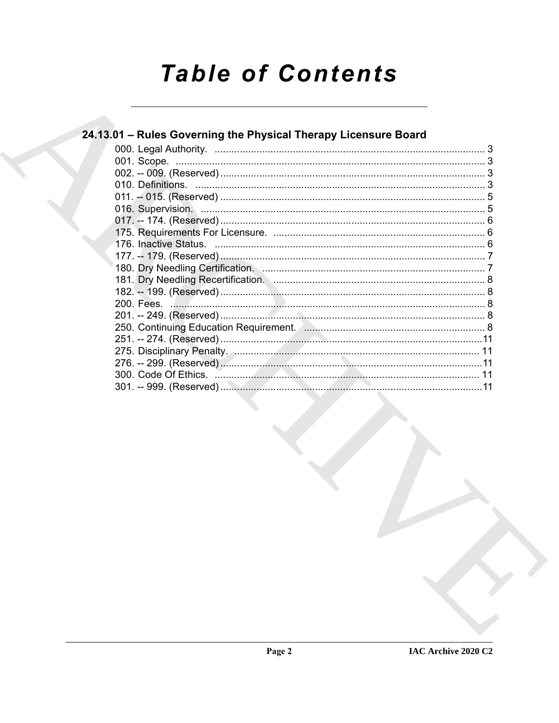# **Table of Contents**

## 24.13.01 - Rules Governing the Physical Therapy Licensure Board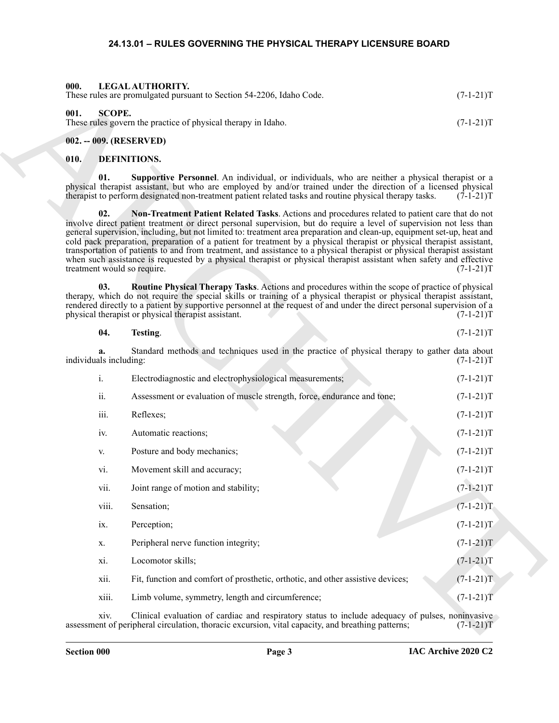#### **24.13.01 – RULES GOVERNING THE PHYSICAL THERAPY LICENSURE BOARD**

<span id="page-2-11"></span><span id="page-2-10"></span><span id="page-2-2"></span><span id="page-2-1"></span><span id="page-2-0"></span>

| 000.<br>LEGAL AUTHORITY.<br>These rules are promulgated pursuant to Section 54-2206, Idaho Code. | $(7-1-21)T$ |
|--------------------------------------------------------------------------------------------------|-------------|
| 001.<br>SCOPE.<br>These rules govern the practice of physical therapy in Idaho.                  | $(7-1-21)T$ |

#### <span id="page-2-3"></span>**002. -- 009. (RESERVED)**

#### <span id="page-2-8"></span><span id="page-2-6"></span><span id="page-2-5"></span><span id="page-2-4"></span>**010. DEFINITIONS.**

<span id="page-2-9"></span><span id="page-2-7"></span>

| 04.<br>Testing. | $(7-1-21)T$ |
|-----------------|-------------|
|-----------------|-------------|

| 000. |                              | LEGAL AUTHORITY.<br>These rules are promulgated pursuant to Section 54-2206, Idaho Code.                                                                                                                                                                                                                                                                                                                                                                                                                                                                                                                                                                                                                                                                       | $(7-1-21)T$     |
|------|------------------------------|----------------------------------------------------------------------------------------------------------------------------------------------------------------------------------------------------------------------------------------------------------------------------------------------------------------------------------------------------------------------------------------------------------------------------------------------------------------------------------------------------------------------------------------------------------------------------------------------------------------------------------------------------------------------------------------------------------------------------------------------------------------|-----------------|
| 001. | <b>SCOPE.</b>                | These rules govern the practice of physical therapy in Idaho.                                                                                                                                                                                                                                                                                                                                                                                                                                                                                                                                                                                                                                                                                                  | $(7-1-21)T$     |
|      |                              | 002. -- 009. (RESERVED)                                                                                                                                                                                                                                                                                                                                                                                                                                                                                                                                                                                                                                                                                                                                        |                 |
| 010. |                              | <b>DEFINITIONS.</b>                                                                                                                                                                                                                                                                                                                                                                                                                                                                                                                                                                                                                                                                                                                                            |                 |
|      | 01.                          | Supportive Personnel. An individual, or individuals, who are neither a physical therapist or a<br>physical therapist assistant, but who are employed by and/or trained under the direction of a licensed physical<br>therapist to perform designated non-treatment patient related tasks and routine physical therapy tasks.                                                                                                                                                                                                                                                                                                                                                                                                                                   | $(7-1-21)T$     |
|      | 02.                          | Non-Treatment Patient Related Tasks. Actions and procedures related to patient care that do not<br>involve direct patient treatment or direct personal supervision, but do require a level of supervision not less than<br>general supervision, including, but not limited to: treatment area preparation and clean-up, equipment set-up, heat and<br>cold pack preparation, preparation of a patient for treatment by a physical therapist or physical therapist assistant,<br>transportation of patients to and from treatment, and assistance to a physical therapist or physical therapist assistant<br>when such assistance is requested by a physical therapist or physical therapist assistant when safety and effective<br>treatment would so require. | $(7-1-21)T$     |
|      | 03.                          | <b>Routine Physical Therapy Tasks.</b> Actions and procedures within the scope of practice of physical<br>therapy, which do not require the special skills or training of a physical therapist or physical therapist assistant,<br>rendered directly to a patient by supportive personnel at the request of and under the direct personal supervision of a<br>physical therapist or physical therapist assistant.                                                                                                                                                                                                                                                                                                                                              | $(7-1-21)T$     |
|      | 04.                          | Testing.                                                                                                                                                                                                                                                                                                                                                                                                                                                                                                                                                                                                                                                                                                                                                       | $(7-1-21)T$     |
|      | a.<br>individuals including: | Standard methods and techniques used in the practice of physical therapy to gather data about                                                                                                                                                                                                                                                                                                                                                                                                                                                                                                                                                                                                                                                                  | $(7-1-21)T$     |
|      | i.                           | Electrodiagnostic and electrophysiological measurements;                                                                                                                                                                                                                                                                                                                                                                                                                                                                                                                                                                                                                                                                                                       | $(7-1-21)T$     |
|      | ii.                          | Assessment or evaluation of muscle strength, force, endurance and tone;                                                                                                                                                                                                                                                                                                                                                                                                                                                                                                                                                                                                                                                                                        | $(7-1-21)T$     |
|      | iii.                         | Reflexes;                                                                                                                                                                                                                                                                                                                                                                                                                                                                                                                                                                                                                                                                                                                                                      | $(7-1-21)T$     |
|      | iv.                          | Automatic reactions;                                                                                                                                                                                                                                                                                                                                                                                                                                                                                                                                                                                                                                                                                                                                           | $(7-1-21)T$     |
|      | V.                           | Posture and body mechanics;                                                                                                                                                                                                                                                                                                                                                                                                                                                                                                                                                                                                                                                                                                                                    | $(7-1-21)T$     |
|      | vi.                          | Movement skill and accuracy;                                                                                                                                                                                                                                                                                                                                                                                                                                                                                                                                                                                                                                                                                                                                   | $(7-1-21)T$     |
|      | vii.                         | Joint range of motion and stability;                                                                                                                                                                                                                                                                                                                                                                                                                                                                                                                                                                                                                                                                                                                           | $(7 - 1 - 21)T$ |
|      | viii.                        | Sensation;                                                                                                                                                                                                                                                                                                                                                                                                                                                                                                                                                                                                                                                                                                                                                     | $(7-1-21)T$     |
|      | ix.                          | Perception;                                                                                                                                                                                                                                                                                                                                                                                                                                                                                                                                                                                                                                                                                                                                                    | $(7-1-21)T$     |
|      | X.                           | Peripheral nerve function integrity;                                                                                                                                                                                                                                                                                                                                                                                                                                                                                                                                                                                                                                                                                                                           | $(7-1-21)T$     |
|      | xi.                          | Locomotor skills;                                                                                                                                                                                                                                                                                                                                                                                                                                                                                                                                                                                                                                                                                                                                              | $(7-1-21)T$     |
|      | xii.                         | Fit, function and comfort of prosthetic, orthotic, and other assistive devices;                                                                                                                                                                                                                                                                                                                                                                                                                                                                                                                                                                                                                                                                                | $(7-1-21)T$     |
|      | xiii.                        | Limb volume, symmetry, length and circumference;                                                                                                                                                                                                                                                                                                                                                                                                                                                                                                                                                                                                                                                                                                               | $(7-1-21)T$     |
|      | xiv.                         | Clinical evaluation of cardiac and respiratory status to include adequacy of pulses, noninvasive<br>assessment of peripheral circulation, thoracic excursion, vital capacity, and breathing patterns;                                                                                                                                                                                                                                                                                                                                                                                                                                                                                                                                                          | $(7-1-21)T$     |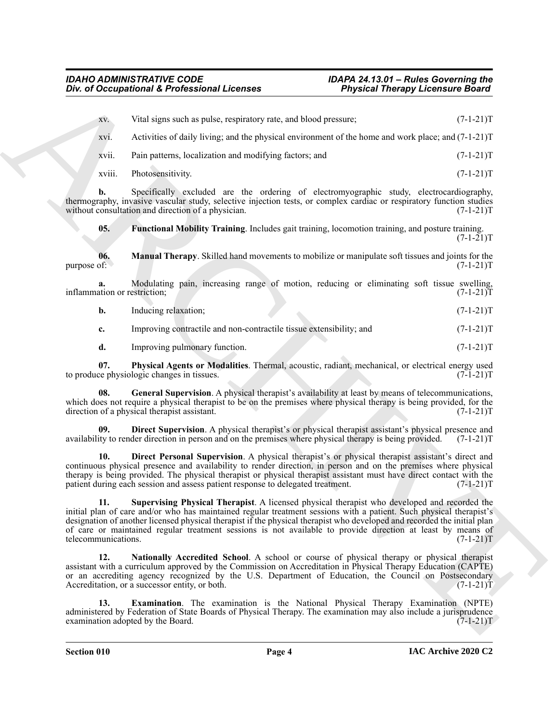|                                    | Div. of Occupational & Professional Licenses                                                                                                                                                                                                                                                                                                                                                                                                                   | <b>Physical Therapy Licensure Board</b> |             |
|------------------------------------|----------------------------------------------------------------------------------------------------------------------------------------------------------------------------------------------------------------------------------------------------------------------------------------------------------------------------------------------------------------------------------------------------------------------------------------------------------------|-----------------------------------------|-------------|
| XV.                                | Vital signs such as pulse, respiratory rate, and blood pressure;                                                                                                                                                                                                                                                                                                                                                                                               |                                         | $(7-1-21)T$ |
| XV1.                               | Activities of daily living; and the physical environment of the home and work place; and $(7-1-21)$ T                                                                                                                                                                                                                                                                                                                                                          |                                         |             |
| xvii.                              | Pain patterns, localization and modifying factors; and                                                                                                                                                                                                                                                                                                                                                                                                         |                                         | $(7-1-21)T$ |
| xviii.                             | Photosensitivity.                                                                                                                                                                                                                                                                                                                                                                                                                                              |                                         | $(7-1-21)T$ |
| b.                                 | Specifically excluded are the ordering of electromyographic study, electrocardiography,<br>thermography, invasive vascular study, selective injection tests, or complex cardiac or respiratory function studies<br>without consultation and direction of a physician.                                                                                                                                                                                          |                                         | $(7-1-21)T$ |
| 05.                                | Functional Mobility Training. Includes gait training, locomotion training, and posture training.                                                                                                                                                                                                                                                                                                                                                               |                                         | $(7-1-21)T$ |
| 06.<br>purpose of:                 | <b>Manual Therapy.</b> Skilled hand movements to mobilize or manipulate soft tissues and joints for the                                                                                                                                                                                                                                                                                                                                                        |                                         | $(7-1-21)T$ |
| a.<br>inflammation or restriction; | Modulating pain, increasing range of motion, reducing or eliminating soft tissue swelling,                                                                                                                                                                                                                                                                                                                                                                     |                                         | $(7-1-21)T$ |
| b.                                 | Inducing relaxation;                                                                                                                                                                                                                                                                                                                                                                                                                                           |                                         | $(7-1-21)T$ |
| c.                                 | Improving contractile and non-contractile tissue extensibility; and                                                                                                                                                                                                                                                                                                                                                                                            |                                         | $(7-1-21)T$ |
| d.                                 | Improving pulmonary function.                                                                                                                                                                                                                                                                                                                                                                                                                                  |                                         | $(7-1-21)T$ |
| 07.                                | Physical Agents or Modalities. Thermal, acoustic, radiant, mechanical, or electrical energy used<br>to produce physiologic changes in tissues.                                                                                                                                                                                                                                                                                                                 |                                         | $(7-1-21)T$ |
| 08.                                | General Supervision. A physical therapist's availability at least by means of telecommunications,<br>which does not require a physical therapist to be on the premises where physical therapy is being provided, for the<br>direction of a physical therapist assistant.                                                                                                                                                                                       |                                         | $(7-1-21)T$ |
| 09.                                | <b>Direct Supervision</b> . A physical therapist's or physical therapist assistant's physical presence and<br>availability to render direction in person and on the premises where physical therapy is being provided.                                                                                                                                                                                                                                         |                                         | $(7-1-21)T$ |
| 10.                                | Direct Personal Supervision. A physical therapist's or physical therapist assistant's direct and<br>continuous physical presence and availability to render direction, in person and on the premises where physical<br>therapy is being provided. The physical therapist or physical therapist assistant must have direct contact with the<br>patient during each session and assess patient response to delegated treatment.                                  |                                         | $(7-1-21)T$ |
| 11.<br>telecommunications.         | Supervising Physical Therapist. A licensed physical therapist who developed and recorded the<br>initial plan of care and/or who has maintained regular treatment sessions with a patient. Such physical therapist's<br>designation of another licensed physical therapist if the physical therapist who developed and recorded the initial plan<br>of care or maintained regular treatment sessions is not available to provide direction at least by means of |                                         | $(7-1-21)T$ |
| 12.                                | Nationally Accredited School. A school or course of physical therapy or physical therapist<br>assistant with a curriculum approved by the Commission on Accreditation in Physical Therapy Education (CAPTE)<br>or an accrediting agency recognized by the U.S. Department of Education, the Council on Postsecondary<br>Accreditation, or a successor entity, or both.                                                                                         |                                         | $(7-1-21)T$ |
| 13.                                | Examination. The examination is the National Physical Therapy Examination (NPTE)<br>administered by Federation of State Boards of Physical Therapy. The examination may also include a jurisprudence<br>examination adopted by the Board.                                                                                                                                                                                                                      |                                         | $(7-1-21)T$ |
|                                    |                                                                                                                                                                                                                                                                                                                                                                                                                                                                |                                         |             |

<span id="page-3-8"></span><span id="page-3-7"></span><span id="page-3-6"></span><span id="page-3-5"></span><span id="page-3-4"></span><span id="page-3-3"></span><span id="page-3-2"></span><span id="page-3-1"></span><span id="page-3-0"></span>

| Inducing relaxation: |  | $(7-1-21)T$ |  |
|----------------------|--|-------------|--|
|                      |  |             |  |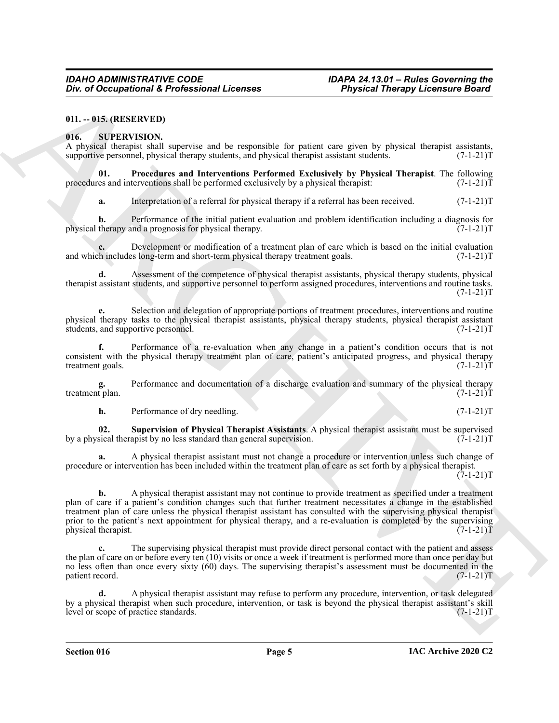#### <span id="page-4-0"></span>**011. -- 015. (RESERVED)**

#### <span id="page-4-2"></span><span id="page-4-1"></span>**016. SUPERVISION.**

A physical therapist shall supervise and be responsible for patient care given by physical therapist assistants, supportive personnel, physical therapy students, and physical therapist assistant students. (7-1-21) supportive personnel, physical therapy students, and physical therapist assistant students.

**Procedures and Interventions Performed Exclusively by Physical Therapist**. The following terventions shall be performed exclusively by a physical therapist:  $(7-1-21)T$ procedures and interventions shall be performed exclusively by a physical therapist:

<span id="page-4-3"></span>**a.** Interpretation of a referral for physical therapy if a referral has been received.  $(7-1-21)T$ 

**b.** Performance of the initial patient evaluation and problem identification including a diagnosis for therapy and a prognosis for physical therapy.  $(7-1-21)$ physical therapy and a prognosis for physical therapy.

Development or modification of a treatment plan of care which is based on the initial evaluation is long-term and short-term physical therapy treatment goals.  $(7-1-21)$ and which includes long-term and short-term physical therapy treatment goals.

**d.** Assessment of the competence of physical therapist assistants, physical therapy students, physical therapist assistant students, and supportive personnel to perform assigned procedures, interventions and routine tasks.  $(7-1-21)T$ 

**e.** Selection and delegation of appropriate portions of treatment procedures, interventions and routine physical therapy tasks to the physical therapist assistants, physical therapy students, physical therapist assistant students, and supportive personnel. (7-1-21)T

**f.** Performance of a re-evaluation when any change in a patient's condition occurs that is not consistent with the physical therapy treatment plan of care, patient's anticipated progress, and physical therapy treatment goals. (7-1-21)T

**g.** Performance and documentation of a discharge evaluation and summary of the physical therapy t plan.  $(7-1-21)$ treatment plan.

<span id="page-4-4"></span>**h.** Performance of dry needling. (7-1-21)T

**02. Supervision of Physical Therapist Assistants**. A physical therapist assistant must be supervised by a physical therapist by no less standard than general supervision.

**a.** A physical therapist assistant must not change a procedure or intervention unless such change of procedure or intervention has been included within the treatment plan of care as set forth by a physical therapist.  $(7-1-21)T$ 

One of Occupational & Professional Licenses<br>
9. Physical Theoretics Properties and the respectively. The particle is the particle in the specifical computer and the specifical computer and the specifical computer and the **b.** A physical therapist assistant may not continue to provide treatment as specified under a treatment plan of care if a patient's condition changes such that further treatment necessitates a change in the established treatment plan of care unless the physical therapist assistant has consulted with the supervising physical therapist prior to the patient's next appointment for physical therapy, and a re-evaluation is completed by the supervising physical therapist. (7-1-21)T

**c.** The supervising physical therapist must provide direct personal contact with the patient and assess the plan of care on or before every ten (10) visits or once a week if treatment is performed more than once per day but no less often than once every sixty (60) days. The supervising therapist's assessment must be documented in the patient record. (7-1-21)T

**d.** A physical therapist assistant may refuse to perform any procedure, intervention, or task delegated by a physical therapist when such procedure, intervention, or task is beyond the physical therapist assistant's skill level or scope of practice standards. (7-1-21) level or scope of practice standards.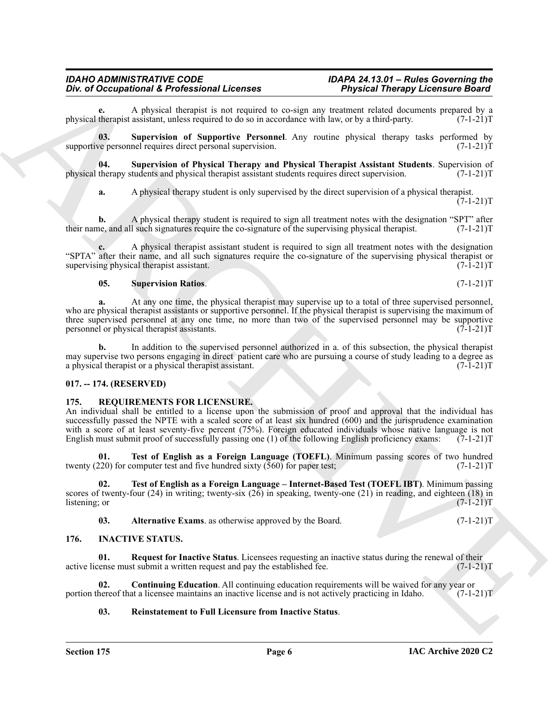A physical therapist is not required to co-sign any treatment related documents prepared by a assistant, unless required to do so in accordance with law, or by a third-party. (7-1-21)<sup>T</sup> physical therapist assistant, unless required to do so in accordance with law, or by a third-party.

<span id="page-5-12"></span>**03. Supervision of Supportive Personnel**. Any routine physical therapy tasks performed by supportive personnel requires direct personal supervision. (7-1-21) T

**04.** Supervision of Physical Therapy and Physical Therapist Assistant Students. Supervision of therapy students and physical therapist assistant students requires direct supervision. (7-1-21)T physical therapy students and physical therapist assistant students requires direct supervision.

<span id="page-5-11"></span>**a.** A physical therapy student is only supervised by the direct supervision of a physical therapist.  $(7-1-21)T$ 

**b.** A physical therapy student is required to sign all treatment notes with the designation "SPT" after ne, and all such signatures require the co-signature of the supervising physical therapist. (7-1-21) their name, and all such signatures require the co-signature of the supervising physical therapist.

**c.** A physical therapist assistant student is required to sign all treatment notes with the designation "SPTA" after their name, and all such signatures require the co-signature of the supervising physical therapist or supervising physical therapist assistant.

#### <span id="page-5-13"></span>**05. Supervision Ratios**. (7-1-21)T

**a.** At any one time, the physical therapist may supervise up to a total of three supervised personnel, who are physical therapist assistants or supportive personnel. If the physical therapist is supervising the maximum of three supervised personnel at any one time, no more than two of the supervised personnel may be supportive personnel or physical therapist assistants. (7-1-21)T

**b.** In addition to the supervised personnel authorized in a. of this subsection, the physical therapist may supervise two persons engaging in direct patient care who are pursuing a course of study leading to a degree as a physical therapist or a physical therapist assistant. (7-1-21)T

#### <span id="page-5-0"></span>**017. -- 174. (RESERVED)**

#### <span id="page-5-7"></span><span id="page-5-1"></span>**175. REQUIREMENTS FOR LICENSURE.**

One of Occupational & Professional Lie consistent ( $\frac{1}{2}$  Projectic Direction Consistent ( $\frac{1}{2}$  Projection Consistent ( $\frac{1}{2}$  Projection Consistent ( $\frac{1}{2}$  Projection Consistent ( $\frac{1}{2}$  Projection Consiste An individual shall be entitled to a license upon the submission of proof and approval that the individual has successfully passed the NPTE with a scaled score of at least six hundred (600) and the jurisprudence examination with a score of at least seventy-five percent (75%). Foreign educated individuals whose native language is not English must submit proof of successfully passing one (1) of the following English proficiency exams:  $(7-1-21)$ T

<span id="page-5-10"></span>**01. Test of English as a Foreign Language (TOEFL)**. Minimum passing scores of two hundred (20) for computer test and five hundred sixty (560) for paper test; twenty (220) for computer test and five hundred sixty  $(560)$  for paper test;

**02. Test of English as a Foreign Language – Internet-Based Test (TOEFL IBT)**. Minimum passing scores of twenty-four (24) in writing; twenty-six (26) in speaking, twenty-one (21) in reading, and eighteen (18) in listening; or  $(7-1-21)$ listening; or  $(7-1-21)$ T

<span id="page-5-9"></span><span id="page-5-8"></span><span id="page-5-6"></span><span id="page-5-3"></span>**03.** Alternative Exams. as otherwise approved by the Board. (7-1-21)T

#### <span id="page-5-2"></span>**176. INACTIVE STATUS.**

**01.** Request for Inactive Status. Licensees requesting an inactive status during the renewal of their ense must submit a written request and pay the established fee.  $(7-1-21)$ active license must submit a written request and pay the established fee.

**02. Continuing Education**. All continuing education requirements will be waived for any year or hereof that a licensee maintains an inactive license and is not actively practicing in Idaho. (7-1-21)T portion thereof that a licensee maintains an inactive license and is not actively practicing in Idaho.

#### <span id="page-5-5"></span><span id="page-5-4"></span>**03. Reinstatement to Full Licensure from Inactive Status**.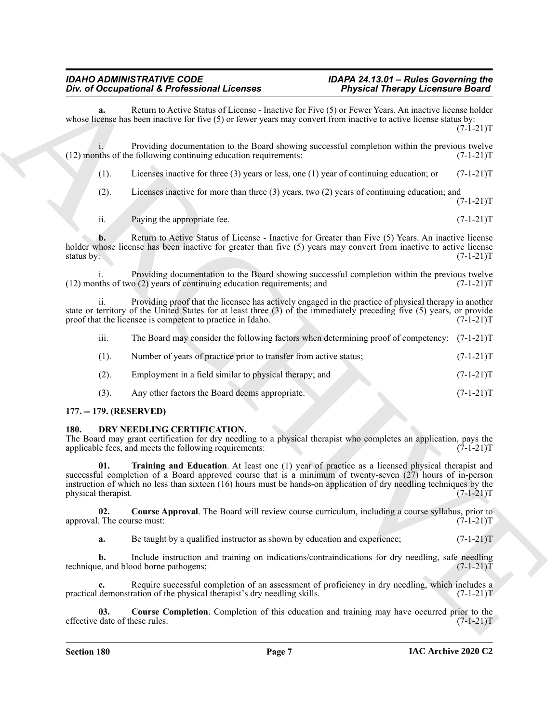The differential definition of the Construction of the Construction of the Construction of the Construction of the Construction of the Construction of the Construction of the Construction of the Construction of the Constr Return to Active Status of License - Inactive for Five (5) or Fewer Years. An inactive license holder whose license has been inactive for five (5) or fewer years may convert from inactive to active license status by:  $(7-1-21)T$ i. Providing documentation to the Board showing successful completion within the previous twelve<br>the following continuing education requirements: (7-1-21)  $(12)$  months of the following continuing education requirements: (1). Licenses inactive for three (3) years or less, one (1) year of continuing education; or  $(7-1-21)T$ (2). Licenses inactive for more than three (3) years, two (2) years of continuing education; and  $(7-1-21)T$ 

ii. Paying the appropriate fee.  $(7-1-21)T$ 

**b.** Return to Active Status of License - Inactive for Greater than Five (5) Years. An inactive license holder whose license has been inactive for greater than five (5) years may convert from inactive to active license status by:  $(7-1-21)$ T status by:  $(7-1-21)T$ 

Providing documentation to the Board showing successful completion within the previous twelve<br>o (2) vears of continuing education requirements: and (7-1-21)  $(12)$  months of two  $(2)$  years of continuing education requirements; and

ii. Providing proof that the licensee has actively engaged in the practice of physical therapy in another state or territory of the United States for at least three (3) of the immediately preceding five (5) years, or provide proof that the licensee is competent to practice in Idaho.  $(7-1-21)$ proof that the licensee is competent to practice in Idaho.

| $\cdots$<br>111. | The Board may consider the following factors when determining proof of competency: $(7-1-21)T$ |             |
|------------------|------------------------------------------------------------------------------------------------|-------------|
| $(1)$ .          | Number of years of practice prior to transfer from active status;                              | $(7-1-21)T$ |
| (2).             | Employment in a field similar to physical therapy; and                                         | $(7-1-21)T$ |
| (3).             | Any other factors the Board deems appropriate.                                                 | $(7-1-21)T$ |

#### <span id="page-6-0"></span>**177. -- 179. (RESERVED)**

#### <span id="page-6-2"></span><span id="page-6-1"></span>**180. DRY NEEDLING CERTIFICATION.**

The Board may grant certification for dry needling to a physical therapist who completes an application, pays the applicable fees, and meets the following requirements:  $(7-1-21)$ applicable fees, and meets the following requirements:

<span id="page-6-5"></span>**01. Training and Education**. At least one (1) year of practice as a licensed physical therapist and successful completion of a Board approved course that is a minimum of twenty-seven (27) hours of in-person instruction of which no less than sixteen (16) hours must be hands-on application of dry needling techniques by the physical therapist. (7-1-21)T

**02.** Course Approval. The Board will review course curriculum, including a course syllabus, prior to . The course must: (7-1-21) approval. The course must:

<span id="page-6-3"></span>**a.** Be taught by a qualified instructor as shown by education and experience;  $(7-1-21)$ T

**b.** Include instruction and training on indications/contraindications for dry needling, safe needling e, and blood borne pathogens;  $(7-1-21)$ technique, and blood borne pathogens;

**c.** Require successful completion of an assessment of proficiency in dry needling, which includes a demonstration of the physical therapist's dry needling skills. (7-1-21) practical demonstration of the physical therapist's dry needling skills.

<span id="page-6-4"></span>**03.** Course Completion. Completion of this education and training may have occurred prior to the date of these rules. (7-1-21)T effective date of these rules.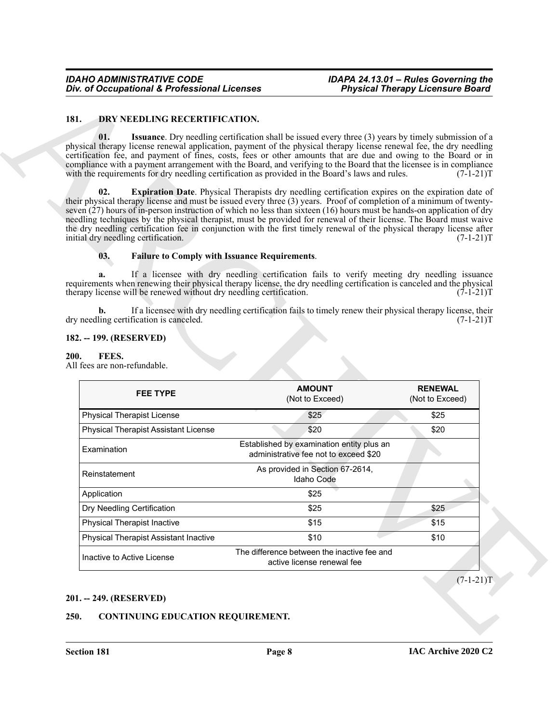#### <span id="page-7-9"></span><span id="page-7-6"></span><span id="page-7-0"></span>**181. DRY NEEDLING RECERTIFICATION.**

#### <span id="page-7-8"></span><span id="page-7-7"></span>**03. Failure to Comply with Issuance Requirements**.

#### <span id="page-7-1"></span>**182. -- 199. (RESERVED)**

#### <span id="page-7-10"></span><span id="page-7-2"></span>**200. FEES.**

| 181.<br>DRY NEEDLING RECERTIFICATION.                                                                                                                                                                                                                                                                                                                                                                                                                                                                                                       |                                                                                                           |                                   |
|---------------------------------------------------------------------------------------------------------------------------------------------------------------------------------------------------------------------------------------------------------------------------------------------------------------------------------------------------------------------------------------------------------------------------------------------------------------------------------------------------------------------------------------------|-----------------------------------------------------------------------------------------------------------|-----------------------------------|
|                                                                                                                                                                                                                                                                                                                                                                                                                                                                                                                                             |                                                                                                           |                                   |
| 01.<br>physical therapy license renewal application, payment of the physical therapy license renewal fee, the dry needling<br>certification fee, and payment of fines, costs, fees or other amounts that are due and owing to the Board or in<br>compliance with a payment arrangement with the Board, and verifying to the Board that the licensee is in compliance<br>with the requirements for dry needling certification as provided in the Board's laws and rules.                                                                     | Issuance. Dry needling certification shall be issued every three (3) years by timely submission of a      | $(7-1-21)T$                       |
| 02.<br>their physical therapy license and must be issued every three (3) years. Proof of completion of a minimum of twenty-<br>seven (27) hours of in-person instruction of which no less than sixteen (16) hours must be hands-on application of dry<br>needling techniques by the physical therapist, must be provided for renewal of their license. The Board must waive<br>the dry needling certification fee in conjunction with the first timely renewal of the physical therapy license after<br>initial dry needling certification. | <b>Expiration Date.</b> Physical Therapists dry needling certification expires on the expiration date of  | $(7-1-21)T$                       |
| 03.<br><b>Failure to Comply with Issuance Requirements.</b>                                                                                                                                                                                                                                                                                                                                                                                                                                                                                 |                                                                                                           |                                   |
| a.<br>requirements when renewing their physical therapy license, the dry needling certification is canceled and the physical<br>therapy license will be renewed without dry needling certification.                                                                                                                                                                                                                                                                                                                                         | If a licensee with dry needling certification fails to verify meeting dry needling issuance               | $(7-1-21)T$                       |
| b.<br>dry needling certification is canceled.                                                                                                                                                                                                                                                                                                                                                                                                                                                                                               | If a licensee with dry needling certification fails to timely renew their physical therapy license, their | $(7-1-21)T$                       |
| 182. -- 199. (RESERVED)                                                                                                                                                                                                                                                                                                                                                                                                                                                                                                                     |                                                                                                           |                                   |
| 200.<br>FEES.<br>All fees are non-refundable.                                                                                                                                                                                                                                                                                                                                                                                                                                                                                               |                                                                                                           |                                   |
| <b>FEE TYPE</b>                                                                                                                                                                                                                                                                                                                                                                                                                                                                                                                             | <b>AMOUNT</b><br>(Not to Exceed)                                                                          | <b>RENEWAL</b><br>(Not to Exceed) |
| <b>Physical Therapist License</b>                                                                                                                                                                                                                                                                                                                                                                                                                                                                                                           | \$25                                                                                                      | \$25                              |
| <b>Physical Therapist Assistant License</b>                                                                                                                                                                                                                                                                                                                                                                                                                                                                                                 | \$20                                                                                                      | \$20                              |
| Examination                                                                                                                                                                                                                                                                                                                                                                                                                                                                                                                                 | Established by examination entity plus an<br>administrative fee not to exceed \$20                        |                                   |
| Reinstatement                                                                                                                                                                                                                                                                                                                                                                                                                                                                                                                               | As provided in Section 67-2614,<br>Idaho Code                                                             |                                   |
| Application                                                                                                                                                                                                                                                                                                                                                                                                                                                                                                                                 | \$25                                                                                                      |                                   |
| Dry Needling Certification                                                                                                                                                                                                                                                                                                                                                                                                                                                                                                                  | \$25                                                                                                      | \$25                              |
| <b>Physical Therapist Inactive</b>                                                                                                                                                                                                                                                                                                                                                                                                                                                                                                          | \$15                                                                                                      | \$15                              |
| <b>Physical Therapist Assistant Inactive</b>                                                                                                                                                                                                                                                                                                                                                                                                                                                                                                | \$10                                                                                                      | \$10                              |
| Inactive to Active License                                                                                                                                                                                                                                                                                                                                                                                                                                                                                                                  | The difference between the inactive fee and<br>active license renewal fee                                 |                                   |
|                                                                                                                                                                                                                                                                                                                                                                                                                                                                                                                                             |                                                                                                           | $(7-1-21)T$                       |
| 201. -- 249. (RESERVED)                                                                                                                                                                                                                                                                                                                                                                                                                                                                                                                     |                                                                                                           |                                   |

#### <span id="page-7-3"></span>**201. -- 249. (RESERVED)**

#### <span id="page-7-5"></span><span id="page-7-4"></span>**250. CONTINUING EDUCATION REQUIREMENT.**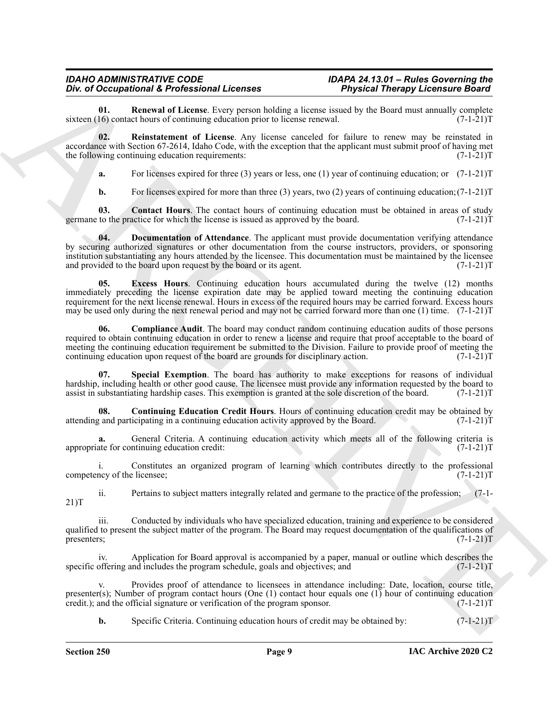<span id="page-8-6"></span>**01. Renewal of License**. Every person holding a license issued by the Board must annually complete 16) contact hours of continuing education prior to license renewal. (7-1-21) sixteen  $(16)$  contact hours of continuing education prior to license renewal.

**02. Reinstatement of License**. Any license canceled for failure to renew may be reinstated in accordance with Section 67-2614, Idaho Code, with the exception that the applicant must submit proof of having met the following continuing education requirements:  $(7-1-21)$ T

<span id="page-8-5"></span>**a.** For licenses expired for three (3) years or less, one (1) year of continuing education; or  $(7-1-21)$ T

<span id="page-8-3"></span><span id="page-8-1"></span>**b.** For licenses expired for more than three (3) years, two (2) years of continuing education; (7-1-21) T

**03.** Contact Hours. The contact hours of continuing education must be obtained in areas of study to the practice for which the license is issued as approved by the board. (7-1-21) germane to the practice for which the license is issued as approved by the board.

The d Octupation is foreigned interesting the<br>state and the state and the state interesting interesting interesting interesting interesting interesting interesting the state of the state interesting interesting the state **04. Documentation of Attendance**. The applicant must provide documentation verifying attendance by securing authorized signatures or other documentation from the course instructors, providers, or sponsoring institution substantiating any hours attended by the licensee. This documentation must be maintained by the licensee<br>and provided to the board upon request by the board or its agent. (7-1-21) and provided to the board upon request by the board or its agent.

<span id="page-8-4"></span>**05. Excess Hours**. Continuing education hours accumulated during the twelve (12) months immediately preceding the license expiration date may be applied toward meeting the continuing education requirement for the next license renewal. Hours in excess of the required hours may be carried forward. Excess hours may be used only during the next renewal period and may not be carried forward more than one (1) time. (7-1-21)T

<span id="page-8-0"></span>**06. Compliance Audit**. The board may conduct random continuing education audits of those persons required to obtain continuing education in order to renew a license and require that proof acceptable to the board of meeting the continuing education requirement be submitted to the Division. Failure to provide proof of meeting the continuing education upon request of the board are grounds for disciplinary action. (7-1-21) continuing education upon request of the board are grounds for disciplinary action.

<span id="page-8-7"></span>**07. Special Exemption**. The board has authority to make exceptions for reasons of individual hardship, including health or other good cause. The licensee must provide any information requested by the board to assist in substantiating hardship cases. This exemption is granted at the sole discretion of the board. (7-1-21)T

<span id="page-8-2"></span>**08. Continuing Education Credit Hours**. Hours of continuing education credit may be obtained by and participating in a continuing education activity approved by the Board. (7-1-21) attending and participating in a continuing education activity approved by the Board.

General Criteria. A continuing education activity which meets all of the following criteria is intinuing education credit:  $(7-1-21)$ appropriate for continuing education credit:

i. Constitutes an organized program of learning which contributes directly to the professional competency of the licensee; (7-1-21)T

ii. Pertains to subject matters integrally related and germane to the practice of the profession; (7-1- 21)T

iii. Conducted by individuals who have specialized education, training and experience to be considered qualified to present the subject matter of the program. The Board may request documentation of the qualifications of presenters;  $(7-1-21)T$ 

Application for Board approval is accompanied by a paper, manual or outline which describes the nud includes the program schedule, goals and objectives; and  $(7-1-21)$ specific offering and includes the program schedule, goals and objectives; and

v. Provides proof of attendance to licensees in attendance including: Date, location, course title, presenter(s); Number of program contact hours (One (1) contact hour equals one (1) hour of continuing education credit.); and the official signature or verification of the program sponsor.  $(7-1-21)$ credit.); and the official signature or verification of the program sponsor.

**b.** Specific Criteria. Continuing education hours of credit may be obtained by:  $(7-1-21)$ T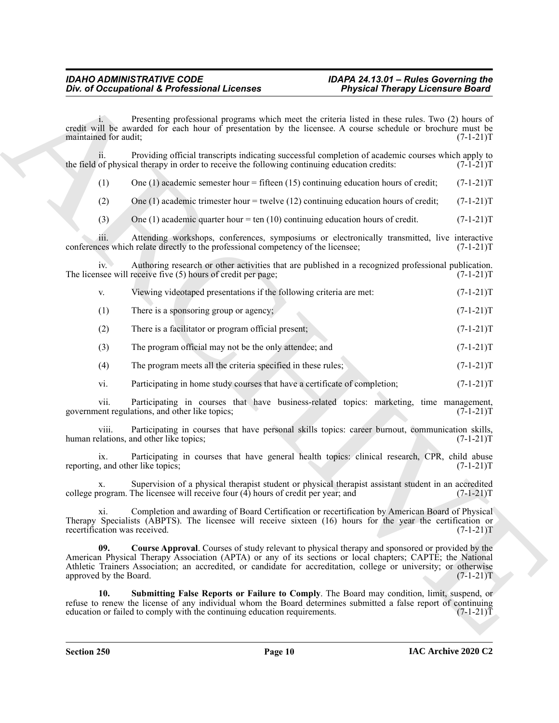Presenting professional programs which meet the criteria listed in these rules. Two (2) hours of credit will be awarded for each hour of presentation by the licensee. A course schedule or brochure must be maintained for audit; (7-1-21) maintained for audit:

ii. Providing official transcripts indicating successful completion of academic courses which apply to of physical therapy in order to receive the following continuing education credits:  $(7-1-21)$ the field of physical therapy in order to receive the following continuing education credits:

(1) One (1) academic semester hour = fifteen (15) continuing education hours of credit;  $(7-1-21)$ T

(2) One (1) academic trimester hour = twelve (12) continuing education hours of credit; (7-1-21)T

(3) One (1) academic quarter hour  $= \tan(10)$  continuing education hours of credit.  $(7-1-21)$ T

iii. Attending workshops, conferences, symposiums or electronically transmitted, live interactive ces which relate directly to the professional competency of the licensee; (7-1-21) conferences which relate directly to the professional competency of the licensee;

iv. Authoring research or other activities that are published in a recognized professional publication. The licensee will receive five  $(5)$  hours of credit per page;  $(7-1-21)$ T

| Viewing videotaped presentations if the following criteria are met: | $(7-1-21)T$ |
|---------------------------------------------------------------------|-------------|
| There is a sponsoring group or agency;                              | $(7-1-21)T$ |

(2) There is a facilitator or program official present; (7-1-21)T

(3) The program official may not be the only attendee; and (7-1-21)T

(4) The program meets all the criteria specified in these rules; (7-1-21)T

vi. Participating in home study courses that have a certificate of completion; (7-1-21)T

vii. Participating in courses that have business-related topics: marketing, time management, government regulations, and other like topics; (7-1-21)T

viii. Participating in courses that have personal skills topics: career burnout, communication skills, plations, and other like topics: human relations, and other like topics;

ix. Participating in courses that have general health topics: clinical research, CPR, child abuse  $\alpha$ , and other like topics;  $(7-1-21)T$ reporting, and other like topics;

x. Supervision of a physical therapist student or physical therapist assistant student in an accredited college program. The licensee will receive four  $(4)$  hours of credit per year; and  $(7-1-21)$ T

<span id="page-9-0"></span>xi. Completion and awarding of Board Certification or recertification by American Board of Physical Therapy Specialists (ABPTS). The licensee will receive sixteen (16) hours for the year the certification or recertification was received. (7-1-21) T

**EVALUATION CONTINUOUS CONTINUOUS CONTINUOUS CONTINUOUS CONTINUOUS CONTINUOUS CONTINUOUS CONTINUOUS CONTINUOUS CONTINUOUS CONTINUOUS CONTINUOUS CONTINUOUS CONTINUOUS CONTINUOUS CONTINUOUS CONTINUOUS CONTINUOUS CONTINUOUS 09. Course Approval**. Courses of study relevant to physical therapy and sponsored or provided by the American Physical Therapy Association (APTA) or any of its sections or local chapters; CAPTE; the National Athletic Trainers Association; an accredited, or candidate for accreditation, college or university; or otherwise approved by the Board. (7-1-21)T

<span id="page-9-1"></span>**10. Submitting False Reports or Failure to Comply**. The Board may condition, limit, suspend, or refuse to renew the license of any individual whom the Board determines submitted a false report of continuing education requirements. (7-1-21) education or failed to comply with the continuing education requirements.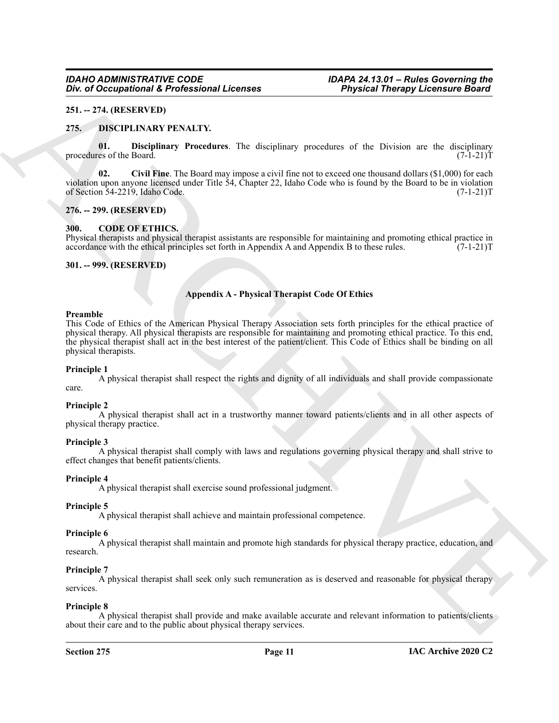#### <span id="page-10-0"></span>**251. -- 274. (RESERVED)**

#### <span id="page-10-9"></span><span id="page-10-7"></span><span id="page-10-1"></span>**275. DISCIPLINARY PENALTY.**

**01. Disciplinary Procedures**. The disciplinary procedures of the Division are the disciplinary es of the Board. (7-1-21)T procedures of the Board.

<span id="page-10-8"></span>**02.** Civil Fine. The Board may impose a civil fine not to exceed one thousand dollars (\$1,000) for each violation upon anyone licensed under Title 54, Chapter 22, Idaho Code who is found by the Board to be in violation of Section 54-2219, Idaho Code. (7-1-21)T

#### <span id="page-10-2"></span>**276. -- 299. (RESERVED)**

#### <span id="page-10-6"></span><span id="page-10-3"></span>**300. CODE OF ETHICS.**

Physical therapists and physical therapist assistants are responsible for maintaining and promoting ethical practice in accordance with the ethical principles set forth in Appendix A and Appendix B to these rules. (7-1-21)T

#### <span id="page-10-4"></span>**301. -- 999. (RESERVED)**

#### <span id="page-10-5"></span>**Appendix A - Physical Therapist Code Of Ethics**

#### **Preamble**

**EVALUATION CONSUMERING CONTRACT CONSUMERATION**<br>
21. **221.** 121. **EUAL SECULAR CONSUMERING CONTRACT CONTRACT CONTRACT CONTRACT CONTRACT CONTRACT CONTRACT CONTRACT CONTRACT CONTRACT CONTRACT CONTRACT CONTRACT CONTRACT CONT** This Code of Ethics of the American Physical Therapy Association sets forth principles for the ethical practice of physical therapy. All physical therapists are responsible for maintaining and promoting ethical practice. To this end, the physical therapist shall act in the best interest of the patient/client. This Code of Ethics shall be binding on all physical therapists.

#### **Principle 1**

A physical therapist shall respect the rights and dignity of all individuals and shall provide compassionate care.

#### **Principle 2**

A physical therapist shall act in a trustworthy manner toward patients/clients and in all other aspects of physical therapy practice.

#### **Principle 3**

A physical therapist shall comply with laws and regulations governing physical therapy and shall strive to effect changes that benefit patients/clients.

#### **Principle 4**

A physical therapist shall exercise sound professional judgment.

#### **Principle 5**

A physical therapist shall achieve and maintain professional competence.

#### **Principle 6**

A physical therapist shall maintain and promote high standards for physical therapy practice, education, and research.

#### **Principle 7**

A physical therapist shall seek only such remuneration as is deserved and reasonable for physical therapy services.

#### **Principle 8**

A physical therapist shall provide and make available accurate and relevant information to patients/clients about their care and to the public about physical therapy services.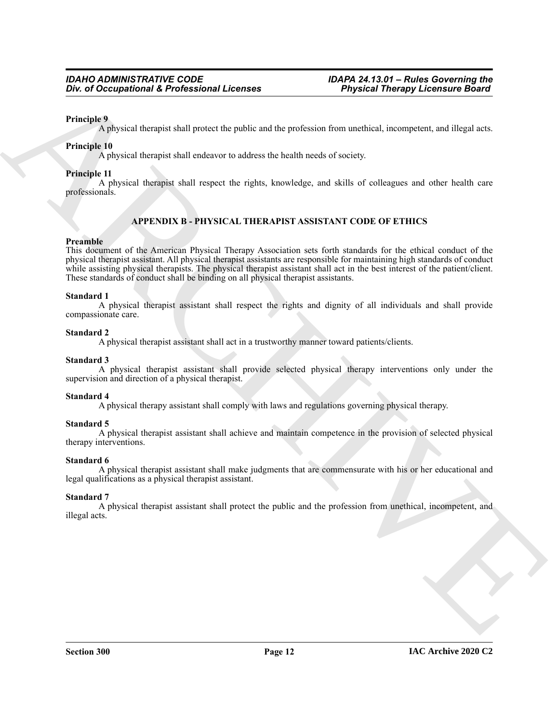#### **Principle 9**

A physical therapist shall protect the public and the profession from unethical, incompetent, and illegal acts.

#### **Principle 10**

A physical therapist shall endeavor to address the health needs of society.

#### **Principle 11**

A physical therapist shall respect the rights, knowledge, and skills of colleagues and other health care professionals.

#### <span id="page-11-0"></span>**APPENDIX B - PHYSICAL THERAPIST ASSISTANT CODE OF ETHICS**

#### **Preamble**

*Giv. of Occupational K. Professional Licenses*  $\overline{P}$  *Physical Theorges*<br>  $\overline{P}$  chirality by  $\gamma$  can be applied and the protection of the start of the spectral interpretation (ARCHIVE)  $\gamma$  ( $\gamma$ ) and the specific This document of the American Physical Therapy Association sets forth standards for the ethical conduct of the physical therapist assistant. All physical therapist assistants are responsible for maintaining high standards of conduct while assisting physical therapists. The physical therapist assistant shall act in the best interest of the patient/client. These standards of conduct shall be binding on all physical therapist assistants.

#### **Standard 1**

A physical therapist assistant shall respect the rights and dignity of all individuals and shall provide compassionate care.

#### **Standard 2**

A physical therapist assistant shall act in a trustworthy manner toward patients/clients.

#### **Standard 3**

A physical therapist assistant shall provide selected physical therapy interventions only under the supervision and direction of a physical therapist.

#### **Standard 4**

A physical therapy assistant shall comply with laws and regulations governing physical therapy.

#### **Standard 5**

A physical therapist assistant shall achieve and maintain competence in the provision of selected physical therapy interventions.

#### **Standard 6**

A physical therapist assistant shall make judgments that are commensurate with his or her educational and legal qualifications as a physical therapist assistant.

#### **Standard 7**

A physical therapist assistant shall protect the public and the profession from unethical, incompetent, and illegal acts.